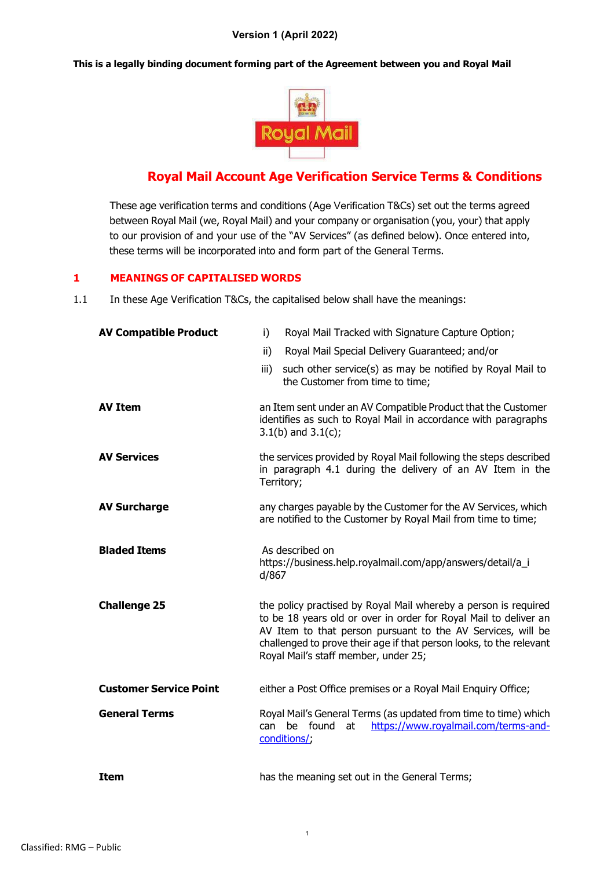#### **This is a legally binding document forming part of the Agreement between you and Royal Mail**



# **Royal Mail Account Age Verification Service Terms & Conditions**

These age verification terms and conditions (Age Verification T&Cs) set out the terms agreed between Royal Mail (we, Royal Mail) and your company or organisation (you, your) that apply to our provision of and your use of the "AV Services" (as defined below). Once entered into, these terms will be incorporated into and form part of the General Terms.

# **1 MEANINGS OF CAPITALISED WORDS**

1.1 In these Age Verification T&Cs, the capitalised below shall have the meanings:

| <b>AV Compatible Product</b>  | Royal Mail Tracked with Signature Capture Option;<br>i)                                                                                                                                                                                                                                                           |  |  |
|-------------------------------|-------------------------------------------------------------------------------------------------------------------------------------------------------------------------------------------------------------------------------------------------------------------------------------------------------------------|--|--|
|                               | ii)<br>Royal Mail Special Delivery Guaranteed; and/or                                                                                                                                                                                                                                                             |  |  |
|                               | such other service(s) as may be notified by Royal Mail to<br>iii)<br>the Customer from time to time;                                                                                                                                                                                                              |  |  |
| <b>AV Item</b>                | an Item sent under an AV Compatible Product that the Customer<br>identifies as such to Royal Mail in accordance with paragraphs<br>$3.1(b)$ and $3.1(c)$ ;                                                                                                                                                        |  |  |
| <b>AV Services</b>            | the services provided by Royal Mail following the steps described<br>in paragraph 4.1 during the delivery of an AV Item in the<br>Territory;                                                                                                                                                                      |  |  |
| <b>AV Surcharge</b>           | any charges payable by the Customer for the AV Services, which<br>are notified to the Customer by Royal Mail from time to time;                                                                                                                                                                                   |  |  |
| <b>Bladed Items</b>           | As described on<br>https://business.help.royalmail.com/app/answers/detail/a_i<br>d/867                                                                                                                                                                                                                            |  |  |
| <b>Challenge 25</b>           | the policy practised by Royal Mail whereby a person is required<br>to be 18 years old or over in order for Royal Mail to deliver an<br>AV Item to that person pursuant to the AV Services, will be<br>challenged to prove their age if that person looks, to the relevant<br>Royal Mail's staff member, under 25; |  |  |
| <b>Customer Service Point</b> | either a Post Office premises or a Royal Mail Enquiry Office;                                                                                                                                                                                                                                                     |  |  |
| <b>General Terms</b>          | Royal Mail's General Terms (as updated from time to time) which<br>be found<br>https://www.royalmail.com/terms-and-<br>can<br>at<br>conditions/;                                                                                                                                                                  |  |  |
| <b>Item</b>                   | has the meaning set out in the General Terms;                                                                                                                                                                                                                                                                     |  |  |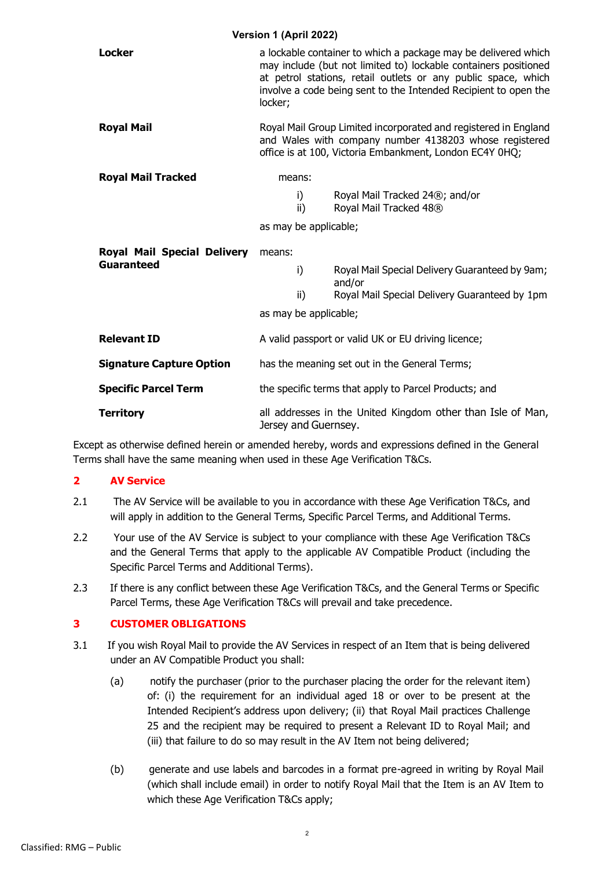| Version 1 (April 2022)                                  |                                                                                                                                                                                                                                                                                  |                                                                       |  |  |
|---------------------------------------------------------|----------------------------------------------------------------------------------------------------------------------------------------------------------------------------------------------------------------------------------------------------------------------------------|-----------------------------------------------------------------------|--|--|
| <b>Locker</b>                                           | a lockable container to which a package may be delivered which<br>may include (but not limited to) lockable containers positioned<br>at petrol stations, retail outlets or any public space, which<br>involve a code being sent to the Intended Recipient to open the<br>locker; |                                                                       |  |  |
| <b>Royal Mail</b>                                       | Royal Mail Group Limited incorporated and registered in England<br>and Wales with company number 4138203 whose registered<br>office is at 100, Victoria Embankment, London EC4Y 0HQ;                                                                                             |                                                                       |  |  |
| <b>Royal Mail Tracked</b>                               | means:                                                                                                                                                                                                                                                                           |                                                                       |  |  |
|                                                         | i)<br>ii)                                                                                                                                                                                                                                                                        | Royal Mail Tracked 24 <sup>®</sup> ; and/or<br>Royal Mail Tracked 48® |  |  |
|                                                         | as may be applicable;                                                                                                                                                                                                                                                            |                                                                       |  |  |
| <b>Royal Mail Special Delivery</b><br><b>Guaranteed</b> | means:                                                                                                                                                                                                                                                                           |                                                                       |  |  |
|                                                         | i)                                                                                                                                                                                                                                                                               | Royal Mail Special Delivery Guaranteed by 9am;<br>and/or              |  |  |
|                                                         | ii)                                                                                                                                                                                                                                                                              | Royal Mail Special Delivery Guaranteed by 1pm                         |  |  |
|                                                         | as may be applicable;                                                                                                                                                                                                                                                            |                                                                       |  |  |
| <b>Relevant ID</b>                                      | A valid passport or valid UK or EU driving licence;                                                                                                                                                                                                                              |                                                                       |  |  |
| <b>Signature Capture Option</b>                         | has the meaning set out in the General Terms;                                                                                                                                                                                                                                    |                                                                       |  |  |
| <b>Specific Parcel Term</b>                             | the specific terms that apply to Parcel Products; and                                                                                                                                                                                                                            |                                                                       |  |  |
| <b>Territory</b>                                        | all addresses in the United Kingdom other than Isle of Man,<br>Jersey and Guernsey.                                                                                                                                                                                              |                                                                       |  |  |

Except as otherwise defined herein or amended hereby, words and expressions defined in the General Terms shall have the same meaning when used in these Age Verification T&Cs.

#### **2 AV Service**

- 2.1 The AV Service will be available to you in accordance with these Age Verification T&Cs, and will apply in addition to the General Terms, Specific Parcel Terms, and Additional Terms.
- 2.2 Your use of the AV Service is subject to your compliance with these Age Verification T&Cs and the General Terms that apply to the applicable AV Compatible Product (including the Specific Parcel Terms and Additional Terms).
- 2.3 If there is any conflict between these Age Verification T&Cs, and the General Terms or Specific Parcel Terms, these Age Verification T&Cs will prevail and take precedence.

#### **3 CUSTOMER OBLIGATIONS**

- 3.1 If you wish Royal Mail to provide the AV Services in respect of an Item that is being delivered under an AV Compatible Product you shall:
	- (a) notify the purchaser (prior to the purchaser placing the order for the relevant item) of: (i) the requirement for an individual aged 18 or over to be present at the Intended Recipient's address upon delivery; (ii) that Royal Mail practices Challenge 25 and the recipient may be required to present a Relevant ID to Royal Mail; and (iii) that failure to do so may result in the AV Item not being delivered;
	- (b) generate and use labels and barcodes in a format pre-agreed in writing by Royal Mail (which shall include email) in order to notify Royal Mail that the Item is an AV Item to which these Age Verification T&Cs apply;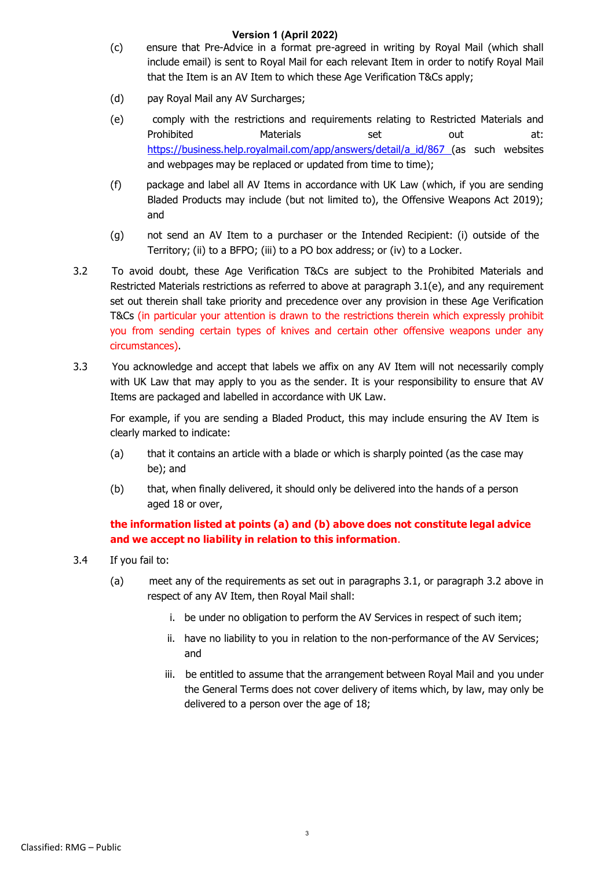- (c) ensure that Pre-Advice in a format pre-agreed in writing by Royal Mail (which shall include email) is sent to Royal Mail for each relevant Item in order to notify Royal Mail that the Item is an AV Item to which these Age Verification T&Cs apply;
- (d) pay Royal Mail any AV Surcharges;
- (e) comply with the restrictions and requirements relating to Restricted Materials and Prohibited Materials set out at: [https://business.help.royalmail.com/app/answers/detail/a\\_id/867 \(](https://business.help.royalmail.com/app/answers/detail/a_id/867)as such websites and webpages may be replaced or updated from time to time);
- (f) package and label all AV Items in accordance with UK Law (which, if you are sending Bladed Products may include (but not limited to), the Offensive Weapons Act 2019); and
- (g) not send an AV Item to a purchaser or the Intended Recipient: (i) outside of the Territory; (ii) to a BFPO; (iii) to a PO box address; or (iv) to a Locker.
- 3.2 To avoid doubt, these Age Verification T&Cs are subject to the Prohibited Materials and Restricted Materials restrictions as referred to above at paragraph 3.1(e), and any requirement set out therein shall take priority and precedence over any provision in these Age Verification T&Cs (in particular your attention is drawn to the restrictions therein which expressly prohibit you from sending certain types of knives and certain other offensive weapons under any circumstances).
- 3.3 You acknowledge and accept that labels we affix on any AV Item will not necessarily comply with UK Law that may apply to you as the sender. It is your responsibility to ensure that AV Items are packaged and labelled in accordance with UK Law.

For example, if you are sending a Bladed Product, this may include ensuring the AV Item is clearly marked to indicate:

- (a) that it contains an article with a blade or which is sharply pointed (as the case may be); and
- (b) that, when finally delivered, it should only be delivered into the hands of a person aged 18 or over,

# **the information listed at points (a) and (b) above does not constitute legal advice and we accept no liability in relation to this information**.

- 3.4 If you fail to:
	- (a) meet any of the requirements as set out in paragraphs 3.1, or paragraph 3.2 above in respect of any AV Item, then Royal Mail shall:
		- i. be under no obligation to perform the AV Services in respect of such item;
		- ii. have no liability to you in relation to the non-performance of the AV Services; and
		- iii. be entitled to assume that the arrangement between Royal Mail and you under the General Terms does not cover delivery of items which, by law, may only be delivered to a person over the age of 18;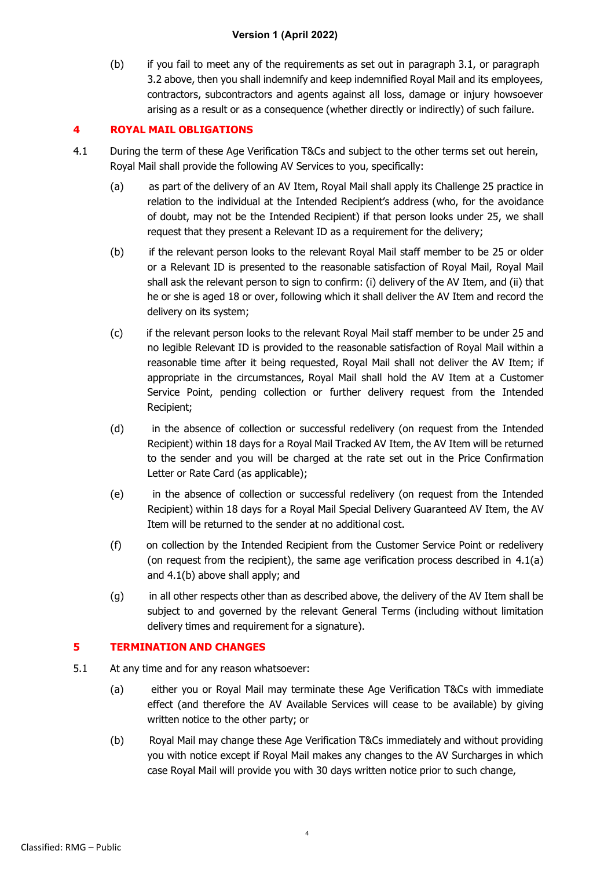(b) if you fail to meet any of the requirements as set out in paragraph 3.1, or paragraph 3.2 above, then you shall indemnify and keep indemnified Royal Mail and its employees, contractors, subcontractors and agents against all loss, damage or injury howsoever arising as a result or as a consequence (whether directly or indirectly) of such failure.

## **4 ROYAL MAIL OBLIGATIONS**

- 4.1 During the term of these Age Verification T&Cs and subject to the other terms set out herein, Royal Mail shall provide the following AV Services to you, specifically:
	- (a) as part of the delivery of an AV Item, Royal Mail shall apply its Challenge 25 practice in relation to the individual at the Intended Recipient's address (who, for the avoidance of doubt, may not be the Intended Recipient) if that person looks under 25, we shall request that they present a Relevant ID as a requirement for the delivery;
	- (b) if the relevant person looks to the relevant Royal Mail staff member to be 25 or older or a Relevant ID is presented to the reasonable satisfaction of Royal Mail, Royal Mail shall ask the relevant person to sign to confirm: (i) delivery of the AV Item, and (ii) that he or she is aged 18 or over, following which it shall deliver the AV Item and record the delivery on its system;
	- (c) if the relevant person looks to the relevant Royal Mail staff member to be under 25 and no legible Relevant ID is provided to the reasonable satisfaction of Royal Mail within a reasonable time after it being requested, Royal Mail shall not deliver the AV Item; if appropriate in the circumstances, Royal Mail shall hold the AV Item at a Customer Service Point, pending collection or further delivery request from the Intended Recipient;
	- (d) in the absence of collection or successful redelivery (on request from the Intended Recipient) within 18 days for a Royal Mail Tracked AV Item, the AV Item will be returned to the sender and you will be charged at the rate set out in the Price Confirmation Letter or Rate Card (as applicable);
	- (e) in the absence of collection or successful redelivery (on request from the Intended Recipient) within 18 days for a Royal Mail Special Delivery Guaranteed AV Item, the AV Item will be returned to the sender at no additional cost.
	- (f) on collection by the Intended Recipient from the Customer Service Point or redelivery (on request from the recipient), the same age verification process described in 4.1(a) and 4.1(b) above shall apply; and
	- (g) in all other respects other than as described above, the delivery of the AV Item shall be subject to and governed by the relevant General Terms (including without limitation delivery times and requirement for a signature).

# **5 TERMINATION AND CHANGES**

- 5.1 At any time and for any reason whatsoever:
	- (a) either you or Royal Mail may terminate these Age Verification T&Cs with immediate effect (and therefore the AV Available Services will cease to be available) by giving written notice to the other party; or
	- (b) Royal Mail may change these Age Verification T&Cs immediately and without providing you with notice except if Royal Mail makes any changes to the AV Surcharges in which case Royal Mail will provide you with 30 days written notice prior to such change,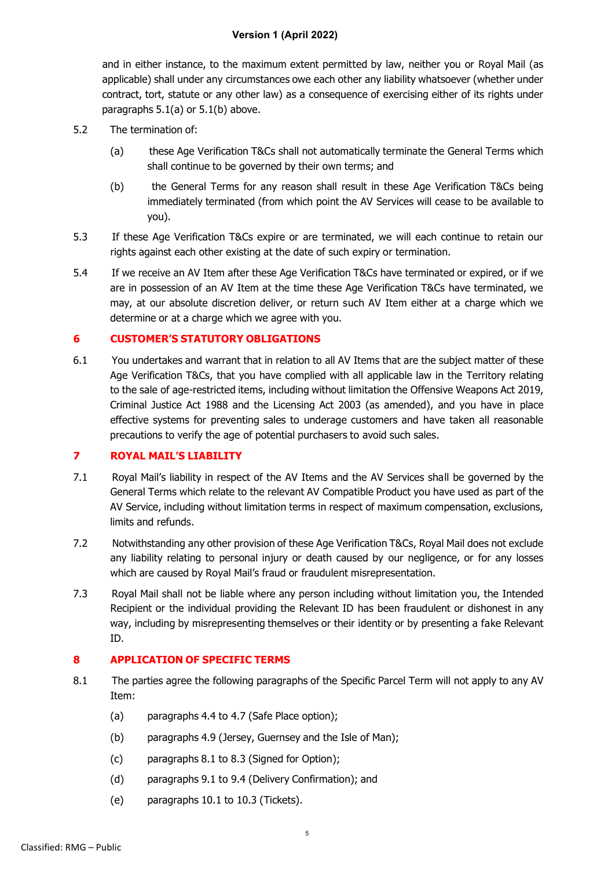and in either instance, to the maximum extent permitted by law, neither you or Royal Mail (as applicable) shall under any circumstances owe each other any liability whatsoever (whether under contract, tort, statute or any other law) as a consequence of exercising either of its rights under paragraphs 5.1(a) or 5.1(b) above.

- 5.2 The termination of:
	- (a) these Age Verification T&Cs shall not automatically terminate the General Terms which shall continue to be governed by their own terms; and
	- (b) the General Terms for any reason shall result in these Age Verification T&Cs being immediately terminated (from which point the AV Services will cease to be available to you).
- 5.3 If these Age Verification T&Cs expire or are terminated, we will each continue to retain our rights against each other existing at the date of such expiry or termination.
- 5.4 If we receive an AV Item after these Age Verification T&Cs have terminated or expired, or if we are in possession of an AV Item at the time these Age Verification T&Cs have terminated, we may, at our absolute discretion deliver, or return such AV Item either at a charge which we determine or at a charge which we agree with you.

#### **6 CUSTOMER'S STATUTORY OBLIGATIONS**

6.1 You undertakes and warrant that in relation to all AV Items that are the subject matter of these Age Verification T&Cs, that you have complied with all applicable law in the Territory relating to the sale of age-restricted items, including without limitation the Offensive Weapons Act 2019, Criminal Justice Act 1988 and the Licensing Act 2003 (as amended), and you have in place effective systems for preventing sales to underage customers and have taken all reasonable precautions to verify the age of potential purchasers to avoid such sales.

#### **7 ROYAL MAIL'S LIABILITY**

- 7.1 Royal Mail's liability in respect of the AV Items and the AV Services shall be governed by the General Terms which relate to the relevant AV Compatible Product you have used as part of the AV Service, including without limitation terms in respect of maximum compensation, exclusions, limits and refunds.
- 7.2 Notwithstanding any other provision of these Age Verification T&Cs, Royal Mail does not exclude any liability relating to personal injury or death caused by our negligence, or for any losses which are caused by Royal Mail's fraud or fraudulent misrepresentation.
- 7.3 Royal Mail shall not be liable where any person including without limitation you, the Intended Recipient or the individual providing the Relevant ID has been fraudulent or dishonest in any way, including by misrepresenting themselves or their identity or by presenting a fake Relevant ID.

# **8 APPLICATION OF SPECIFIC TERMS**

- 8.1 The parties agree the following paragraphs of the Specific Parcel Term will not apply to any AV Item:
	- (a) paragraphs 4.4 to 4.7 (Safe Place option);
	- (b) paragraphs 4.9 (Jersey, Guernsey and the Isle of Man);
	- (c) paragraphs 8.1 to 8.3 (Signed for Option);
	- (d) paragraphs 9.1 to 9.4 (Delivery Confirmation); and
	- (e) paragraphs 10.1 to 10.3 (Tickets).